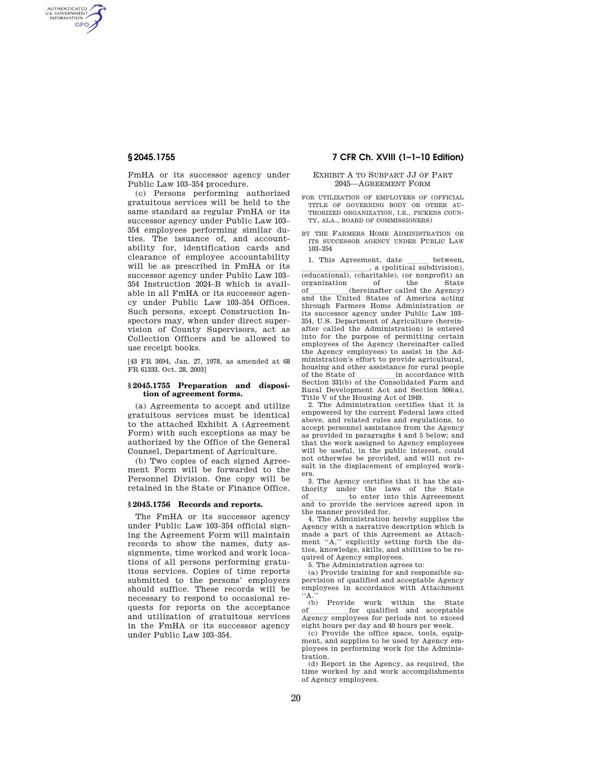AUTHENTICATED<br>U.S. GOVERNMENT<br>INFORMATION **GPO** 

> FmHA or its successor agency under Public Law 103–354 procedure.

> (c) Persons performing authorized gratuitous services will be held to the same standard as regular FmHA or its successor agency under Public Law 103– 354 employees performing similar duties. The issuance of, and accountability for, identification cards and clearance of employee accountability will be as prescribed in FmHA or its successor agency under Public Law 103– 354 Instruction 2024–B which is available in all FmHA or its successor agency under Public Law 103–354 Offices. Such persons, except Construction Inspectors may, when under direct supervision of County Supervisors, act as Collection Officers and be allowed to use receipt books.

> [43 FR 3694, Jan. 27, 1978, as amended at 68 FR 61333, Oct. 28, 2003]

## **§ 2045.1755 Preparation and disposition of agreement forms.**

(a) Agreements to accept and utilize gratuitous services must be identical to the attached Exhibit A (Agreement Form) with such exceptions as may be authorized by the Office of the General Counsel, Department of Agriculture.

(b) Two copies of each signed Agreement Form will be forwarded to the Personnel Division. One copy will be retained in the State or Finance Office.

# **§ 2045.1756 Records and reports.**

The FmHA or its successor agency under Public Law 103–354 official signing the Agreement Form will maintain records to show the names, duty assignments, time worked and work locations of all persons performing gratuitous services. Copies of time reports submitted to the persons' employers should suffice. These records will be necessary to respond to occasional requests for reports on the acceptance and utilization of gratuitous services in the FmHA or its successor agency under Public Law 103–354.

# **§ 2045.1755 7 CFR Ch. XVIII (1–1–10 Edition)**

## EXHIBIT A TO SUBPART JJ OF PART 2045—AGREEMENT FORM

- FOR UTILIZATION OF EMPLOYEES OF (OFFICIAL TITLE OF GOVERNING BODY OR OTHER AU-THORIZED ORGANIZATION, I.E., PICKENS COUN-TY, ALA., BOARD OF COMMISSIONERS)
- BY THE FARMERS HOME ADMINISTRATION OR ITS SUCCESSOR AGENCY UNDER PUBLIC LAW 103–354

1. This Agreement, date between,  $\frac{1}{\sqrt{1-\frac{1}{n}}}$ , a (political subdivision). a (political subdivision),<br>(educational), (charitable), (or nonprofit) an organization of the State<br>of (hereinafter called the Agency) of (hereinafter called the Agency)<br>and the United States of America acting through Farmers Home Administration or its successor agency under Public Law 103– 354, U.S. Department of Agriculture (hereinafter called the Administration) is entered into for the purpose of permitting certain employees of the Agency (hereinafter called the Agency employees) to assist in the Administration's effort to provide agricultural, housing and other assistance for rural people of the State ofllllllin accordance with Section 331(b) of the Consolidated Farm and Rural Development Act and Section 506(a), Title V of the Housing Act of 1949.

2. The Administration certifies that it is empowered by the current Federal laws cited above, and related rules and regulations, to accept personnel assistance from the Agency as provided in paragraphs 4 and 5 below; and that the work assigned to Agency employees will be useful, in the public interest, could not otherwise be provided, and will not result in the displacement of employed workers.

3. The Agency certifies that it has the authority under the laws of the State of the conterption of the Services agreed upon in and to provide the services agreed upon in the manner provided for.

4. The Administration hereby supplies the Agency with a narrative description which is made a part of this Agreement as Attachment "A," explicitly setting forth the duties, knowledge, skills, and abilities to be required of Agency employees.

5. The Administration agrees to:

(a) Provide training for and responsible supervision of qualified and acceptable Agency employees in accordance with Attachment  $\cdot$  A.

(b) Provide work within the State of  $\frac{1}{\text{for}}$  qualified and acceptable  $\frac{1}{\text{For}}$  and  $\frac{1}{\text{For}}$  are  $\frac{1}{\text{For}}$  and  $\frac{1}{\text{For}}$  and  $\frac{1}{\text{For}}$  are  $\frac{1}{\text{For}}$  and  $\frac{1}{\text{For}}$  and  $\frac{1}{\text{For}}$  are  $\frac{1}{\text{For$ Agency employees for periods not to exceed eight hours per day and 40 hours per week.

(c) Provide the office space, tools, equipment, and supplies to be used by Agency employees in performing work for the Administration.

(d) Report in the Agency, as required, the time worked by and work accomplishments of Agency employees.